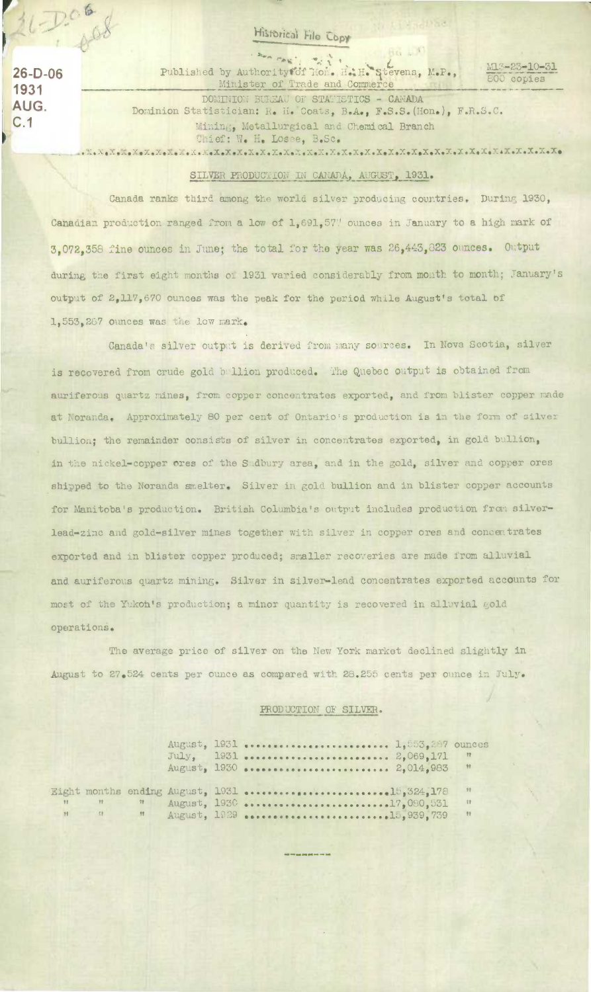## Historical File Copy

 $26-D-06$ 1931 AUG.  $C.1$ 

 $D$ 06

 $-408$ 

Published by Authority of Tion. H.H. Stevens, M.P., M13-23-10-31 800 copies DOMINION BUREAU OF STATISTICS - CANADA Dominion Statistician: R. H. Coats, B.A., F.S.S. (Hon.), F.R.S.C. Mining, Metallurgical and Chemical Branch Chief: W. H. Losee, B.Sc.

## SILVER PRODUCTION IN CANADA, AUGUST, 1931.

Canada ranks third among the world silver producing countries. During 1930, Canadian production ranged from a low of 1,691,57" ounces in January to a high mark of 3,072,358 fine ounces in June; the total for the year was 26,443,823 ounces. Output during the first eight months of 1931 varied considerably from month to month; January's output of 2,117,670 ounces was the peak for the period while August's total of 1,553,267 Ounces was the low mark.

Canada's silver output is derived from many sources. In Nova Scotia, silver is recovered from crude gold bullion produced. The Quebec output is obtained from auriferous quartz mines, from copper concentrates exported, and from blister copper made at Noranda. Approximately 80 per cent of Ontario's production is in the form of silver bullion; the remainder consists of silver in concentrates exported, in gold bullion, in the nickel-copper ores of the Sadbury area, and in the gold, silver and copper ores shipped to the Noranda smelter. Silver in gold bullion and in blister copper accounts for Manitoba's production. British Columbia's output includes production from silverlead-zinc and gold-silver mines together with silver in copper ores and concentrates exported and in blister copper produced; smaller recoveries are made from alluvial and auriferous quartz mining. Silver in silver-lead concentrates exported accounts for most of the Yukoh's production; a minor quantity is recovered in alluvial gold operations.

The average price of silver on the New York market declined slightly in August to 27.524 cents per ounce as compared with 28.255 cents per ounce in July.

## PRODUCTION OF SILVER.

|                                                                                                                                                                                                                                                                                                                                    |          |  | $July, 1931 2,069,171$<br>August, 1930  2,014,983 | $\mathbb{R}$<br>$\frac{1}{2}$ |
|------------------------------------------------------------------------------------------------------------------------------------------------------------------------------------------------------------------------------------------------------------------------------------------------------------------------------------|----------|--|---------------------------------------------------|-------------------------------|
|                                                                                                                                                                                                                                                                                                                                    |          |  |                                                   | 77                            |
| $\mathbb{R}$ $\mathbb{R}$ $\mathbb{R}$ $\mathbb{R}$ $\mathbb{R}$ $\mathbb{R}$ $\mathbb{R}$ $\mathbb{R}$ $\mathbb{R}$ $\mathbb{R}$ $\mathbb{R}$ $\mathbb{R}$ $\mathbb{R}$ $\mathbb{R}$ $\mathbb{R}$ $\mathbb{R}$ $\mathbb{R}$ $\mathbb{R}$ $\mathbb{R}$ $\mathbb{R}$ $\mathbb{R}$ $\mathbb{R}$ $\mathbb{R}$ $\mathbb{R}$ $\mathbb{$ | $\gamma$ |  |                                                   | $^{\circ}$                    |
| $M$ $M$ $M$                                                                                                                                                                                                                                                                                                                        |          |  |                                                   | $\mathbb{R}$                  |